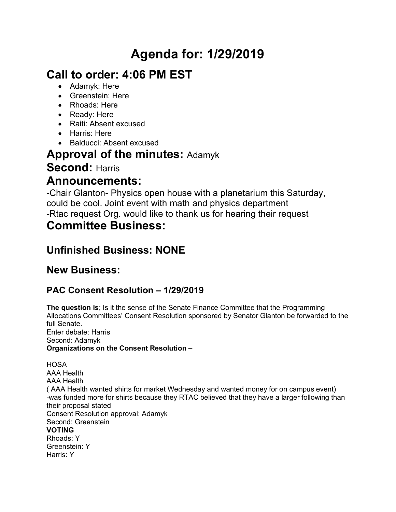# **Agenda for: 1/29/2019**

# **Call to order: 4:06 PM EST**

- Adamyk: Here
- Greenstein: Here
- Rhoads: Here
- Ready: Here
- Raiti: Absent excused
- Harris: Here
- Balducci: Absent excused

## **Approval of the minutes:** Adamyk

# **Second:** Harris

## **Announcements:**

-Chair Glanton- Physics open house with a planetarium this Saturday, could be cool. Joint event with math and physics department -Rtac request Org. would like to thank us for hearing their request

# **Committee Business:**

# **Unfinished Business: NONE**

### **New Business:**

### **PAC Consent Resolution – 1/29/2019**

**The question is**; Is it the sense of the Senate Finance Committee that the Programming Allocations Committees' Consent Resolution sponsored by Senator Glanton be forwarded to the full Senate. Enter debate: Harris Second: Adamyk **Organizations on the Consent Resolution –**

**HOSA** AAA Health AAA Health ( AAA Health wanted shirts for market Wednesday and wanted money for on campus event) -was funded more for shirts because they RTAC believed that they have a larger following than their proposal stated Consent Resolution approval: Adamyk Second: Greenstein **VOTING** Rhoads: Y Greenstein: Y Harris: Y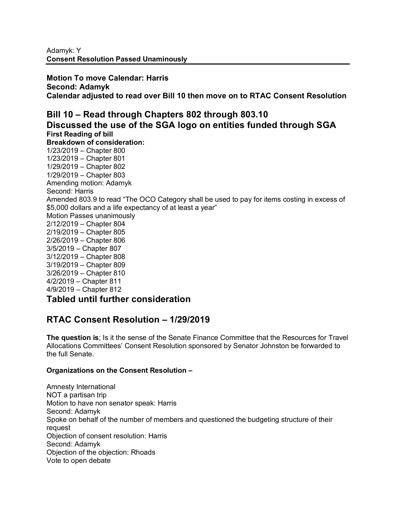**Motion To move Calendar: Harris Second: Adamyk Calendar adjusted to read over Bill 10 then move on to RTAC Consent Resolution**

#### **Bill 10 – Read through Chapters 802 through 803.10 Discussed the use of the SGA logo on entities funded through SGA First Reading of bill Breakdown of consideration:** 1/23/2019 – Chapter 800 1/23/2019 – Chapter 801 1/29/2019 – Chapter 802 1/29/2019 – Chapter 803 Amending motion: Adamyk Second: Harris Amended 803.9 to read "The OCO Category shall be used to pay for items costing in excess of \$5,000 dollars and a life expectancy of at least a year" Motion Passes unanimously 2/12/2019 – Chapter 804 2/19/2019 – Chapter 805 2/26/2019 – Chapter 806 3/5/2019 – Chapter 807 3/12/2019 – Chapter 808 3/19/2019 – Chapter 809 3/26/2019 – Chapter 810

4/2/2019 – Chapter 811

4/9/2019 – Chapter 812

### **Tabled until further consideration**

### **RTAC Consent Resolution – 1/29/2019**

**The question is**; Is it the sense of the Senate Finance Committee that the Resources for Travel Allocations Committees' Consent Resolution sponsored by Senator Johnston be forwarded to the full Senate.

#### **Organizations on the Consent Resolution –**

Amnesty International NOT a partisan trip Motion to have non senator speak: Harris Second: Adamyk Spoke on behalf of the number of members and questioned the budgeting structure of their request Objection of consent resolution: Harris Second: Adamyk Objection of the objection: Rhoads Vote to open debate